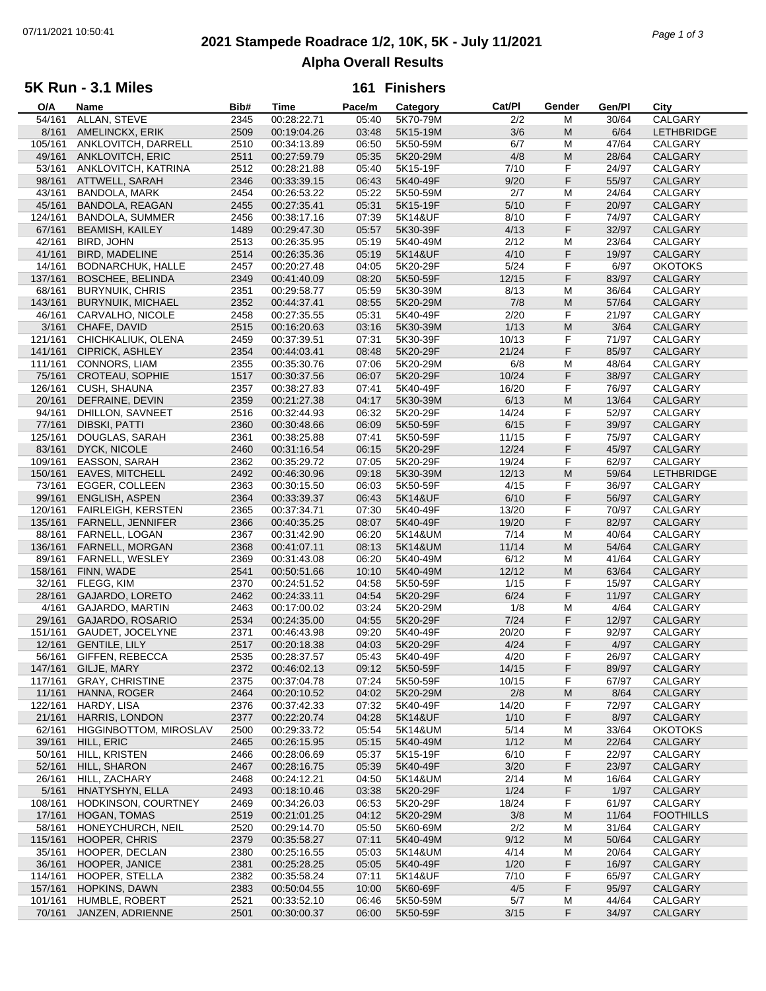# **2021 Stampede Roadrace 1/2, 10K, 5K - July 11/2021** 07/11/2021 10:50:41 *Page 1 of 3* **Alpha Overall Results**

## **5K Run - 3.1 Miles**

## **161 Finishers**

| O/A     | Name                      | Bib# | Time        | Pace/m | Category | Cat/Pl | Gender    | Gen/Pl | City              |
|---------|---------------------------|------|-------------|--------|----------|--------|-----------|--------|-------------------|
| 54/161  | ALLAN, STEVE              | 2345 | 00:28:22.71 | 05:40  | 5K70-79M | 2/2    | M         | 30/64  | CALGARY           |
| 8/161   | AMELINCKX, ERIK           | 2509 | 00:19:04.26 | 03:48  | 5K15-19M | 3/6    | M         | 6/64   | <b>LETHBRIDGE</b> |
| 105/161 | ANKLOVITCH, DARRELL       | 2510 | 00:34:13.89 | 06:50  | 5K50-59M | 6/7    | М         | 47/64  | CALGARY           |
|         |                           |      |             |        |          |        |           |        |                   |
| 49/161  | ANKLOVITCH, ERIC          | 2511 | 00:27:59.79 | 05:35  | 5K20-29M | 4/8    | ${\sf M}$ | 28/64  | CALGARY           |
| 53/161  | ANKLOVITCH, KATRINA       | 2512 | 00:28:21.88 | 05:40  | 5K15-19F | 7/10   | F         | 24/97  | CALGARY           |
| 98/161  | ATTWELL, SARAH            | 2346 | 00:33:39.15 | 06:43  | 5K40-49F | 9/20   | F         | 55/97  | <b>CALGARY</b>    |
| 43/161  | BANDOLA, MARK             | 2454 | 00:26:53.22 | 05:22  | 5K50-59M | 2/7    | M         | 24/64  | CALGARY           |
| 45/161  | <b>BANDOLA, REAGAN</b>    | 2455 | 00:27:35.41 | 05:31  | 5K15-19F | 5/10   | F         | 20/97  | CALGARY           |
| 124/161 | BANDOLA, SUMMER           | 2456 | 00:38:17.16 | 07:39  | 5K14&UF  | 8/10   | F         | 74/97  | CALGARY           |
|         |                           |      |             |        |          |        |           |        |                   |
| 67/161  | <b>BEAMISH, KAILEY</b>    | 1489 | 00:29:47.30 | 05:57  | 5K30-39F | 4/13   | F         | 32/97  | <b>CALGARY</b>    |
| 42/161  | BIRD, JOHN                | 2513 | 00:26:35.95 | 05:19  | 5K40-49M | 2/12   | М         | 23/64  | CALGARY           |
| 41/161  | <b>BIRD, MADELINE</b>     | 2514 | 00:26:35.36 | 05:19  | 5K14&UF  | 4/10   | F         | 19/97  | CALGARY           |
| 14/161  | BODNARCHUK, HALLE         | 2457 | 00:20:27.48 | 04:05  | 5K20-29F | 5/24   | F         | 6/97   | <b>OKOTOKS</b>    |
| 137/161 | <b>BOSCHEE, BELINDA</b>   | 2349 | 00:41:40.09 | 08:20  | 5K50-59F | 12/15  | F         | 83/97  | CALGARY           |
|         |                           |      |             |        |          |        |           |        |                   |
| 68/161  | <b>BURYNUIK, CHRIS</b>    | 2351 | 00:29:58.77 | 05:59  | 5K30-39M | 8/13   | M         | 36/64  | CALGARY           |
| 143/161 | <b>BURYNUIK, MICHAEL</b>  | 2352 | 00:44:37.41 | 08:55  | 5K20-29M | 7/8    | M         | 57/64  | CALGARY           |
| 46/161  | CARVALHO, NICOLE          | 2458 | 00:27:35.55 | 05:31  | 5K40-49F | 2/20   | F         | 21/97  | CALGARY           |
| 3/161   | CHAFE, DAVID              | 2515 | 00:16:20.63 | 03:16  | 5K30-39M | 1/13   | M         | 3/64   | CALGARY           |
| 121/161 | CHICHKALIUK, OLENA        | 2459 | 00:37:39.51 | 07:31  | 5K30-39F | 10/13  | F         | 71/97  | CALGARY           |
| 141/161 | <b>CIPRICK, ASHLEY</b>    | 2354 | 00:44:03.41 | 08:48  | 5K20-29F | 21/24  | F         | 85/97  | CALGARY           |
|         |                           |      |             |        |          |        |           |        |                   |
| 111/161 | CONNORS, LIAM             | 2355 | 00:35:30.76 | 07:06  | 5K20-29M | 6/8    | M         | 48/64  | CALGARY           |
| 75/161  | <b>CROTEAU, SOPHIE</b>    | 1517 | 00:30:37.56 | 06:07  | 5K20-29F | 10/24  | F         | 38/97  | CALGARY           |
| 126/161 | CUSH, SHAUNA              | 2357 | 00:38:27.83 | 07:41  | 5K40-49F | 16/20  | F         | 76/97  | CALGARY           |
| 20/161  | DEFRAINE, DEVIN           | 2359 | 00:21:27.38 | 04:17  | 5K30-39M | 6/13   | M         | 13/64  | CALGARY           |
| 94/161  | DHILLON, SAVNEET          | 2516 | 00:32:44.93 | 06:32  | 5K20-29F | 14/24  | F         | 52/97  | CALGARY           |
| 77/161  | DIBSKI, PATTI             | 2360 | 00:30:48.66 | 06:09  | 5K50-59F | 6/15   | F         | 39/97  | CALGARY           |
|         |                           |      |             |        |          |        |           |        |                   |
| 125/161 | DOUGLAS, SARAH            | 2361 | 00:38:25.88 | 07:41  | 5K50-59F | 11/15  | F         | 75/97  | CALGARY           |
| 83/161  | <b>DYCK, NICOLE</b>       | 2460 | 00:31:16.54 | 06:15  | 5K20-29F | 12/24  | F         | 45/97  | <b>CALGARY</b>    |
| 109/161 | EASSON, SARAH             | 2362 | 00:35:29.72 | 07:05  | 5K20-29F | 19/24  | F         | 62/97  | CALGARY           |
| 150/161 | <b>EAVES, MITCHELL</b>    | 2492 | 00:46:30.96 | 09:18  | 5K30-39M | 12/13  | М         | 59/64  | <b>LETHBRIDGE</b> |
| 73/161  | EGGER, COLLEEN            | 2363 | 00:30:15.50 | 06:03  | 5K50-59F | 4/15   | F         | 36/97  | CALGARY           |
| 99/161  | <b>ENGLISH, ASPEN</b>     | 2364 | 00:33:39.37 | 06:43  | 5K14&UF  | 6/10   | F         | 56/97  | CALGARY           |
|         |                           |      |             |        |          |        |           |        |                   |
| 120/161 | <b>FAIRLEIGH, KERSTEN</b> | 2365 | 00:37:34.71 | 07:30  | 5K40-49F | 13/20  | F         | 70/97  | CALGARY           |
| 135/161 | <b>FARNELL, JENNIFER</b>  | 2366 | 00:40:35.25 | 08:07  | 5K40-49F | 19/20  | F         | 82/97  | CALGARY           |
| 88/161  | FARNELL, LOGAN            | 2367 | 00:31:42.90 | 06:20  | 5K14&UM  | 7/14   | M         | 40/64  | CALGARY           |
| 136/161 | FARNELL, MORGAN           | 2368 | 00:41:07.11 | 08:13  | 5K14&UM  | 11/14  | ${\sf M}$ | 54/64  | CALGARY           |
| 89/161  | FARNELL, WESLEY           | 2369 | 00:31:43.08 | 06:20  | 5K40-49M | 6/12   | M         | 41/64  | CALGARY           |
| 158/161 | FINN, WADE                | 2541 | 00:50:51.66 | 10:10  | 5K40-49M | 12/12  | M         | 63/64  | CALGARY           |
|         |                           |      |             |        |          |        |           |        |                   |
| 32/161  | FLEGG, KIM                | 2370 | 00:24:51.52 | 04:58  | 5K50-59F | 1/15   | F         | 15/97  | CALGARY           |
| 28/161  | GAJARDO, LORETO           | 2462 | 00:24:33.11 | 04:54  | 5K20-29F | 6/24   | F         | 11/97  | CALGARY           |
| 4/161   | GAJARDO, MARTIN           | 2463 | 00:17:00.02 | 03:24  | 5K20-29M | 1/8    | M         | 4/64   | CALGARY           |
| 29/161  | <b>GAJARDO, ROSARIO</b>   | 2534 | 00:24:35.00 | 04:55  | 5K20-29F | $7/24$ | F         | 12/97  | CALGARY           |
| 151/161 | GAUDET, JOCELYNE          | 2371 | 00:46:43.98 | 09:20  | 5K40-49F | 20/20  | F         | 92/97  | CALGARY           |
| 12/161  | <b>GENTILE, LILY</b>      | 2517 | 00:20:18.38 | 04:03  | 5K20-29F | 4/24   | F         | 4/97   | CALGARY           |
|         |                           |      |             |        |          |        |           |        |                   |
| 56/161  | GIFFEN, REBECCA           | 2535 | 00:28:37.57 | 05:43  | 5K40-49F | 4/20   | F         | 26/97  | CALGARY           |
| 147/161 | GILJE, MARY               | 2372 | 00:46:02.13 | 09:12  | 5K50-59F | 14/15  | F         | 89/97  | CALGARY           |
| 117/161 | <b>GRAY, CHRISTINE</b>    | 2375 | 00:37:04.78 | 07:24  | 5K50-59F | 10/15  | F         | 67/97  | CALGARY           |
| 11/161  | HANNA, ROGER              | 2464 | 00:20:10.52 | 04:02  | 5K20-29M | 2/8    | M         | 8/64   | CALGARY           |
| 122/161 | HARDY, LISA               | 2376 | 00:37:42.33 | 07:32  | 5K40-49F | 14/20  | F         | 72/97  | CALGARY           |
| 21/161  | <b>HARRIS, LONDON</b>     | 2377 | 00:22:20.74 | 04:28  | 5K14&UF  | 1/10   | F         | 8/97   | CALGARY           |
|         |                           |      |             |        |          |        |           |        |                   |
| 62/161  | HIGGINBOTTOM, MIROSLAV    | 2500 | 00:29:33.72 | 05:54  | 5K14&UM  | 5/14   | M         | 33/64  | <b>OKOTOKS</b>    |
| 39/161  | HILL, ERIC                | 2465 | 00:26:15.95 | 05:15  | 5K40-49M | 1/12   | M         | 22/64  | CALGARY           |
| 50/161  | HILL, KRISTEN             | 2466 | 00:28:06.69 | 05:37  | 5K15-19F | 6/10   | F         | 22/97  | CALGARY           |
| 52/161  | HILL, SHARON              | 2467 | 00:28:16.75 | 05:39  | 5K40-49F | 3/20   | F         | 23/97  | CALGARY           |
| 26/161  | HILL, ZACHARY             | 2468 | 00:24:12.21 | 04:50  | 5K14&UM  | 2/14   | M         | 16/64  | CALGARY           |
| 5/161   | HNATYSHYN, ELLA           | 2493 | 00:18:10.46 | 03:38  | 5K20-29F | 1/24   | F         | 1/97   | CALGARY           |
|         |                           |      |             |        |          |        |           |        |                   |
| 108/161 | HODKINSON, COURTNEY       | 2469 | 00:34:26.03 | 06:53  | 5K20-29F | 18/24  | F         | 61/97  | CALGARY           |
| 17/161  | <b>HOGAN, TOMAS</b>       | 2519 | 00:21:01.25 | 04:12  | 5K20-29M | 3/8    | M         | 11/64  | <b>FOOTHILLS</b>  |
| 58/161  | HONEYCHURCH, NEIL         | 2520 | 00:29:14.70 | 05:50  | 5K60-69M | 2/2    | M         | 31/64  | CALGARY           |
| 115/161 | HOOPER, CHRIS             | 2379 | 00:35:58.27 | 07:11  | 5K40-49M | 9/12   | M         | 50/64  | CALGARY           |
| 35/161  | HOOPER, DECLAN            | 2380 | 00:25:16.55 | 05:03  | 5K14&UM  | 4/14   | M         | 20/64  | CALGARY           |
| 36/161  | HOOPER, JANICE            | 2381 | 00:25:28.25 | 05:05  | 5K40-49F | 1/20   | F         | 16/97  | CALGARY           |
|         |                           |      |             |        |          |        |           |        |                   |
| 114/161 | HOOPER, STELLA            | 2382 | 00:35:58.24 | 07:11  | 5K14&UF  | 7/10   | F         | 65/97  | CALGARY           |
| 157/161 | <b>HOPKINS, DAWN</b>      | 2383 | 00:50:04.55 | 10:00  | 5K60-69F | 4/5    | F         | 95/97  | CALGARY           |
| 101/161 | HUMBLE, ROBERT            | 2521 | 00:33:52.10 | 06:46  | 5K50-59M | 5/7    | М         | 44/64  | CALGARY           |
| 70/161  | JANZEN, ADRIENNE          | 2501 | 00:30:00.37 | 06:00  | 5K50-59F | 3/15   | F         | 34/97  | CALGARY           |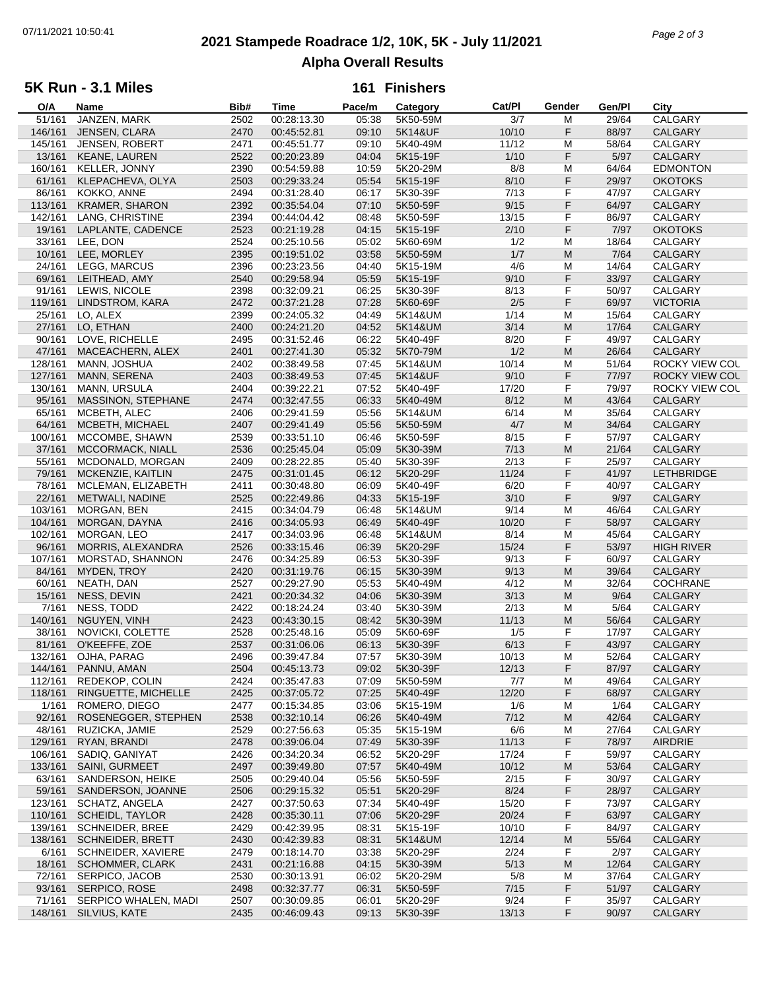# **2021 Stampede Roadrace 1/2, 10K, 5K - July 11/2021** 07/11/2021 10:50:41 *Page 2 of 3* **Alpha Overall Results**

## **5K Run - 3.1 Miles**

## **161 Finishers**

| O/A     | Name                    | Bib# | Time        | Pace/m | Category | Cat/PI | Gender | Gen/Pl | City              |
|---------|-------------------------|------|-------------|--------|----------|--------|--------|--------|-------------------|
| 51/161  | JANZEN, MARK            | 2502 | 00:28:13.30 | 05:38  | 5K50-59M | 3/7    | M      | 29/64  | CALGARY           |
| 146/161 | JENSEN, CLARA           | 2470 | 00:45:52.81 | 09:10  | 5K14&UF  | 10/10  | F      | 88/97  | CALGARY           |
| 145/161 | <b>JENSEN, ROBERT</b>   | 2471 | 00:45:51.77 | 09:10  | 5K40-49M | 11/12  | М      | 58/64  | CALGARY           |
| 13/161  | <b>KEANE, LAUREN</b>    | 2522 | 00:20:23.89 | 04:04  | 5K15-19F | 1/10   | F      | 5/97   | CALGARY           |
|         |                         |      |             |        |          |        | M      |        |                   |
| 160/161 | KELLER, JONNY           | 2390 | 00:54:59.88 | 10:59  | 5K20-29M | 8/8    |        | 64/64  | <b>EDMONTON</b>   |
| 61/161  | KLEPACHEVA, OLYA        | 2503 | 00:29:33.24 | 05:54  | 5K15-19F | 8/10   | F      | 29/97  | <b>OKOTOKS</b>    |
| 86/161  | KOKKO, ANNE             | 2494 | 00:31:28.40 | 06:17  | 5K30-39F | 7/13   | F      | 47/97  | CALGARY           |
| 113/161 | <b>KRAMER, SHARON</b>   | 2392 | 00:35:54.04 | 07:10  | 5K50-59F | 9/15   | F      | 64/97  | <b>CALGARY</b>    |
| 142/161 | LANG, CHRISTINE         | 2394 | 00:44:04.42 | 08:48  | 5K50-59F | 13/15  | F      | 86/97  | CALGARY           |
| 19/161  | LAPLANTE, CADENCE       | 2523 | 00:21:19.28 | 04:15  | 5K15-19F | 2/10   | F      | 7/97   | <b>OKOTOKS</b>    |
| 33/161  | LEE, DON                | 2524 | 00:25:10.56 | 05:02  | 5K60-69M | 1/2    | M      | 18/64  | CALGARY           |
| 10/161  | LEE, MORLEY             | 2395 | 00:19:51.02 | 03:58  | 5K50-59M | 1/7    | M      | 7/64   | CALGARY           |
|         |                         |      |             |        |          |        |        |        |                   |
| 24/161  | LEGG, MARCUS            | 2396 | 00:23:23.56 | 04:40  | 5K15-19M | 4/6    | M      | 14/64  | CALGARY           |
| 69/161  | LEITHEAD, AMY           | 2540 | 00:29:58.94 | 05:59  | 5K15-19F | 9/10   | F      | 33/97  | <b>CALGARY</b>    |
| 91/161  | LEWIS, NICOLE           | 2398 | 00:32:09.21 | 06:25  | 5K30-39F | 8/13   | F      | 50/97  | CALGARY           |
| 119/161 | LINDSTROM, KARA         | 2472 | 00:37:21.28 | 07:28  | 5K60-69F | 2/5    | F      | 69/97  | <b>VICTORIA</b>   |
| 25/161  | LO, ALEX                | 2399 | 00:24:05.32 | 04:49  | 5K14&UM  | 1/14   | M      | 15/64  | CALGARY           |
| 27/161  | LO, ETHAN               | 2400 | 00:24:21.20 | 04:52  | 5K14&UM  | 3/14   | M      | 17/64  | CALGARY           |
| 90/161  | LOVE, RICHELLE          | 2495 | 00:31:52.46 | 06:22  | 5K40-49F | 8/20   | F      | 49/97  | CALGARY           |
|         |                         |      |             |        |          |        |        |        |                   |
| 47/161  | MACEACHERN, ALEX        | 2401 | 00:27:41.30 | 05:32  | 5K70-79M | 1/2    | M      | 26/64  | <b>CALGARY</b>    |
| 128/161 | MANN, JOSHUA            | 2402 | 00:38:49.58 | 07:45  | 5K14&UM  | 10/14  | M      | 51/64  | ROCKY VIEW COL    |
| 127/161 | MANN, SERENA            | 2403 | 00:38:49.53 | 07:45  | 5K14&UF  | 9/10   | F      | 77/97  | ROCKY VIEW COL    |
| 130/161 | MANN, URSULA            | 2404 | 00:39:22.21 | 07:52  | 5K40-49F | 17/20  | F      | 79/97  | ROCKY VIEW COL    |
| 95/161  | MASSINON, STEPHANE      | 2474 | 00:32:47.55 | 06:33  | 5K40-49M | 8/12   | M      | 43/64  | <b>CALGARY</b>    |
| 65/161  | MCBETH, ALEC            | 2406 | 00:29:41.59 | 05:56  | 5K14&UM  | 6/14   | М      | 35/64  | CALGARY           |
| 64/161  | MCBETH, MICHAEL         | 2407 | 00:29:41.49 | 05:56  | 5K50-59M | 4/7    | M      | 34/64  | CALGARY           |
|         |                         |      |             |        |          |        |        |        | CALGARY           |
| 100/161 | MCCOMBE, SHAWN          | 2539 | 00:33:51.10 | 06:46  | 5K50-59F | 8/15   | F      | 57/97  |                   |
| 37/161  | MCCORMACK, NIALL        | 2536 | 00:25:45.04 | 05:09  | 5K30-39M | 7/13   | M      | 21/64  | CALGARY           |
| 55/161  | MCDONALD, MORGAN        | 2409 | 00:28:22.85 | 05:40  | 5K30-39F | 2/13   | F      | 25/97  | CALGARY           |
| 79/161  | MCKENZIE, KAITLIN       | 2475 | 00:31:01.45 | 06:12  | 5K20-29F | 11/24  | F      | 41/97  | <b>LETHBRIDGE</b> |
| 78/161  | MCLEMAN, ELIZABETH      | 2411 | 00:30:48.80 | 06:09  | 5K40-49F | 6/20   | F      | 40/97  | CALGARY           |
| 22/161  | METWALI, NADINE         | 2525 | 00:22:49.86 | 04:33  | 5K15-19F | 3/10   | F      | 9/97   | <b>CALGARY</b>    |
| 103/161 | MORGAN, BEN             | 2415 | 00:34:04.79 | 06:48  | 5K14&UM  | 9/14   | M      | 46/64  | CALGARY           |
| 104/161 | MORGAN, DAYNA           | 2416 | 00:34:05.93 | 06:49  | 5K40-49F | 10/20  | F      | 58/97  | CALGARY           |
|         |                         |      |             |        |          |        |        |        |                   |
| 102/161 | MORGAN, LEO             | 2417 | 00:34:03.96 | 06:48  | 5K14&UM  | 8/14   | M      | 45/64  | CALGARY           |
| 96/161  | MORRIS, ALEXANDRA       | 2526 | 00:33:15.46 | 06:39  | 5K20-29F | 15/24  | F      | 53/97  | <b>HIGH RIVER</b> |
| 107/161 | MORSTAD, SHANNON        | 2476 | 00:34:25.89 | 06:53  | 5K30-39F | 9/13   | F      | 60/97  | CALGARY           |
| 84/161  | MYDEN, TROY             | 2420 | 00:31:19.76 | 06:15  | 5K30-39M | 9/13   | M      | 39/64  | CALGARY           |
| 60/161  | NEATH, DAN              | 2527 | 00:29:27.90 | 05:53  | 5K40-49M | 4/12   | M      | 32/64  | <b>COCHRANE</b>   |
| 15/161  | NESS, DEVIN             | 2421 | 00:20:34.32 | 04:06  | 5K30-39M | 3/13   | M      | 9/64   | <b>CALGARY</b>    |
| 7/161   | NESS, TODD              | 2422 | 00:18:24.24 | 03:40  | 5K30-39M | 2/13   | М      | 5/64   | CALGARY           |
| 140/161 | NGUYEN, VINH            | 2423 | 00:43:30.15 | 08:42  | 5K30-39M | 11/13  | M      | 56/64  | CALGARY           |
|         |                         |      |             |        |          |        |        |        |                   |
| 38/161  | NOVICKI, COLETTE        | 2528 | 00:25:48.16 | 05:09  | 5K60-69F | 1/5    | F      | 17/97  | CALGARY           |
| 81/161  | O'KEEFFE, ZOE           | 2537 | 00:31:06.06 | 06:13  | 5K30-39F | 6/13   | F      | 43/97  | CALGARY           |
| 132/161 | OJHA, PARAG             | 2496 | 00:39:47.84 | 07:57  | 5K30-39M | 10/13  | M      | 52/64  | CALGARY           |
|         | 144/161 PANNU, AMAN     | 2504 | 00:45:13.73 | 09:02  | 5K30-39F | 12/13  | F      | 87/97  | <b>CALGARY</b>    |
| 112/161 | REDEKOP, COLIN          | 2424 | 00:35:47.83 | 07:09  | 5K50-59M | 7/7    | М      | 49/64  | CALGARY           |
| 118/161 | RINGUETTE, MICHELLE     | 2425 | 00:37:05.72 | 07:25  | 5K40-49F | 12/20  | F      | 68/97  | <b>CALGARY</b>    |
| 1/161   | ROMERO, DIEGO           | 2477 | 00:15:34.85 | 03:06  | 5K15-19M | 1/6    | М      | 1/64   | CALGARY           |
| 92/161  | ROSENEGGER, STEPHEN     | 2538 | 00:32:10.14 | 06:26  | 5K40-49M | 7/12   | M      | 42/64  | <b>CALGARY</b>    |
|         |                         |      |             |        |          |        |        |        |                   |
| 48/161  | RUZICKA, JAMIE          | 2529 | 00:27:56.63 | 05:35  | 5K15-19M | 6/6    | М      | 27/64  | CALGARY           |
| 129/161 | RYAN, BRANDI            | 2478 | 00:39:06.04 | 07:49  | 5K30-39F | 11/13  | F      | 78/97  | AIRDRIE           |
| 106/161 | SADIQ, GANIYAT          | 2426 | 00:34:20.34 | 06:52  | 5K20-29F | 17/24  | F      | 59/97  | CALGARY           |
| 133/161 | <b>SAINI, GURMEET</b>   | 2497 | 00:39:49.80 | 07:57  | 5K40-49M | 10/12  | M      | 53/64  | CALGARY           |
| 63/161  | SANDERSON, HEIKE        | 2505 | 00:29:40.04 | 05:56  | 5K50-59F | 2/15   | F      | 30/97  | CALGARY           |
| 59/161  | SANDERSON, JOANNE       | 2506 | 00:29:15.32 | 05:51  | 5K20-29F | 8/24   | F      | 28/97  | <b>CALGARY</b>    |
| 123/161 | SCHATZ, ANGELA          | 2427 | 00:37:50.63 | 07:34  | 5K40-49F | 15/20  | F      | 73/97  | CALGARY           |
|         |                         |      |             |        |          |        |        |        | <b>CALGARY</b>    |
| 110/161 | <b>SCHEIDL, TAYLOR</b>  | 2428 | 00:35:30.11 | 07:06  | 5K20-29F | 20/24  | F      | 63/97  |                   |
| 139/161 | <b>SCHNEIDER, BREE</b>  | 2429 | 00:42:39.95 | 08:31  | 5K15-19F | 10/10  | F      | 84/97  | CALGARY           |
| 138/161 | <b>SCHNEIDER, BRETT</b> | 2430 | 00:42:39.83 | 08:31  | 5K14&UM  | 12/14  | M      | 55/64  | <b>CALGARY</b>    |
| 6/161   | SCHNEIDER, XAVIERE      | 2479 | 00:18:14.70 | 03:38  | 5K20-29F | 2/24   | F      | 2/97   | CALGARY           |
| 18/161  | <b>SCHOMMER, CLARK</b>  | 2431 | 00:21:16.88 | 04:15  | 5K30-39M | 5/13   | M      | 12/64  | CALGARY           |
| 72/161  | SERPICO, JACOB          | 2530 | 00:30:13.91 | 06:02  | 5K20-29M | 5/8    | M      | 37/64  | CALGARY           |
| 93/161  | SERPICO, ROSE           | 2498 | 00:32:37.77 | 06:31  | 5K50-59F | 7/15   | F      | 51/97  | CALGARY           |
| 71/161  | SERPICO WHALEN, MADI    | 2507 | 00:30:09.85 | 06:01  | 5K20-29F | 9/24   | F      | 35/97  | CALGARY           |
|         |                         |      |             |        |          |        | F      |        |                   |
|         | 148/161 SILVIUS, KATE   | 2435 | 00:46:09.43 | 09:13  | 5K30-39F | 13/13  |        | 90/97  | CALGARY           |